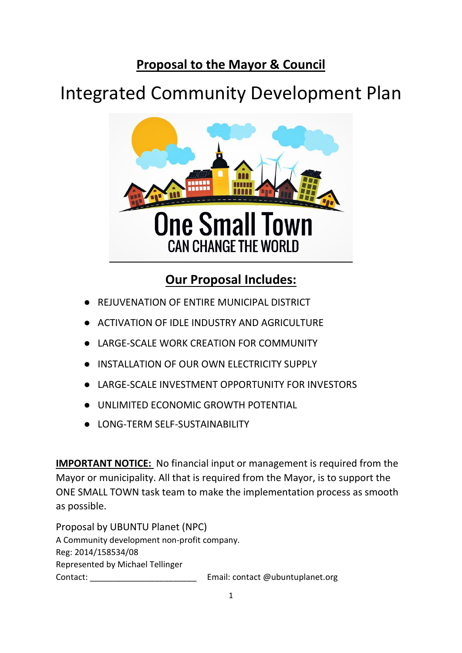# **Proposal to the Mayor & Council**

# Integrated Community Development Plan



# **Our Proposal Includes:**

- REJUVENATION OF ENTIRE MUNICIPAL DISTRICT
- ACTIVATION OF IDLE INDUSTRY AND AGRICULTURE
- LARGE-SCALE WORK CREATION FOR COMMUNITY
- INSTALLATION OF OUR OWN ELECTRICITY SUPPLY
- LARGE-SCALE INVESTMENT OPPORTUNITY FOR INVESTORS
- UNLIMITED FCONOMIC GROWTH POTENTIAL
- LONG-TERM SELF-SUSTAINABILITY

**IMPORTANT NOTICE:** No financial input or management is required from the Mayor or municipality. All that is required from the Mayor, is to support the ONE SMALL TOWN task team to make the implementation process as smooth as possible.

Proposal by UBUNTU Planet (NPC) A Community development non-profit company. Reg: 2014/158534/08 Represented by Michael Tellinger Contact: Contact: Email: contact @ubuntuplanet.org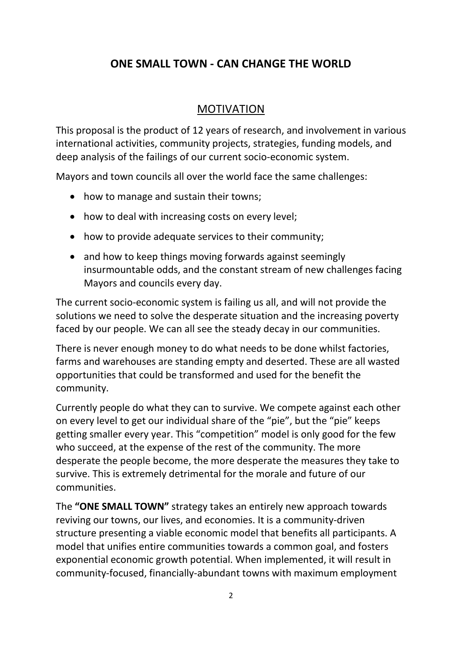# **ONE SMALL TOWN - CAN CHANGE THE WORLD**

## MOTIVATION

This proposal is the product of 12 years of research, and involvement in various international activities, community projects, strategies, funding models, and deep analysis of the failings of our current socio-economic system.

Mayors and town councils all over the world face the same challenges:

- how to manage and sustain their towns;
- how to deal with increasing costs on every level;
- how to provide adequate services to their community;
- and how to keep things moving forwards against seemingly insurmountable odds, and the constant stream of new challenges facing Mayors and councils every day.

The current socio-economic system is failing us all, and will not provide the solutions we need to solve the desperate situation and the increasing poverty faced by our people. We can all see the steady decay in our communities.

There is never enough money to do what needs to be done whilst factories, farms and warehouses are standing empty and deserted. These are all wasted opportunities that could be transformed and used for the benefit the community.

Currently people do what they can to survive. We compete against each other on every level to get our individual share of the "pie", but the "pie" keeps getting smaller every year. This "competition" model is only good for the few who succeed, at the expense of the rest of the community. The more desperate the people become, the more desperate the measures they take to survive. This is extremely detrimental for the morale and future of our communities.

The **"ONE SMALL TOWN"** strategy takes an entirely new approach towards reviving our towns, our lives, and economies. It is a community-driven structure presenting a viable economic model that benefits all participants. A model that unifies entire communities towards a common goal, and fosters exponential economic growth potential. When implemented, it will result in community-focused, financially-abundant towns with maximum employment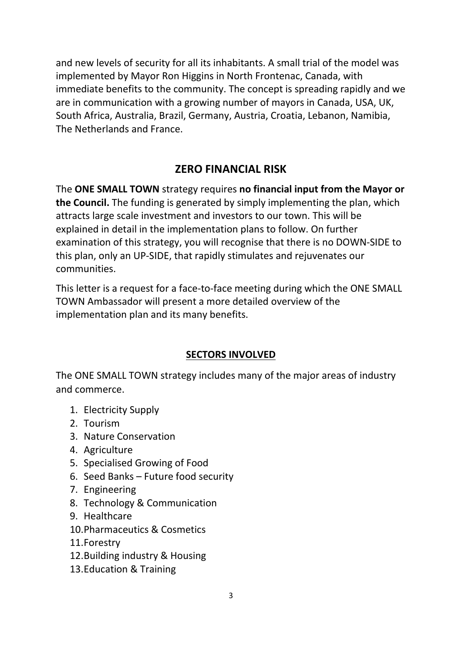and new levels of security for all its inhabitants. A small trial of the model was implemented by Mayor Ron Higgins in North Frontenac, Canada, with immediate benefits to the community. The concept is spreading rapidly and we are in communication with a growing number of mayors in Canada, USA, UK, South Africa, Australia, Brazil, Germany, Austria, Croatia, Lebanon, Namibia, The Netherlands and France.

# **ZERO FINANCIAL RISK**

The **ONE SMALL TOWN** strategy requires **no financial input from the Mayor or the Council.** The funding is generated by simply implementing the plan, which attracts large scale investment and investors to our town. This will be explained in detail in the implementation plans to follow. On further examination of this strategy, you will recognise that there is no DOWN-SIDE to this plan, only an UP-SIDE, that rapidly stimulates and rejuvenates our communities.

This letter is a request for a face-to-face meeting during which the ONE SMALL TOWN Ambassador will present a more detailed overview of the implementation plan and its many benefits.

## **SECTORS INVOLVED**

The ONE SMALL TOWN strategy includes many of the major areas of industry and commerce.

- 1. Electricity Supply
- 2. Tourism
- 3. Nature Conservation
- 4. Agriculture
- 5. Specialised Growing of Food
- 6. Seed Banks Future food security
- 7. Engineering
- 8. Technology & Communication
- 9. Healthcare
- 10.Pharmaceutics & Cosmetics
- 11.Forestry
- 12.Building industry & Housing
- 13.Education & Training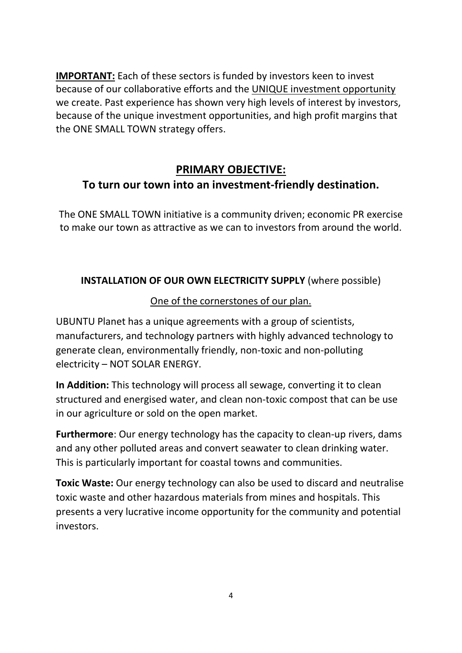**IMPORTANT:** Each of these sectors is funded by investors keen to invest because of our collaborative efforts and the UNIQUE investment opportunity we create. Past experience has shown very high levels of interest by investors, because of the unique investment opportunities, and high profit margins that the ONE SMALL TOWN strategy offers.

# **PRIMARY OBJECTIVE: To turn our town into an investment-friendly destination.**

The ONE SMALL TOWN initiative is a community driven; economic PR exercise to make our town as attractive as we can to investors from around the world.

## **INSTALLATION OF OUR OWN ELECTRICITY SUPPLY** (where possible)

# One of the cornerstones of our plan.

UBUNTU Planet has a unique agreements with a group of scientists, manufacturers, and technology partners with highly advanced technology to generate clean, environmentally friendly, non-toxic and non-polluting electricity – NOT SOLAR ENERGY.

**In Addition:** This technology will process all sewage, converting it to clean structured and energised water, and clean non-toxic compost that can be use in our agriculture or sold on the open market.

**Furthermore**: Our energy technology has the capacity to clean-up rivers, dams and any other polluted areas and convert seawater to clean drinking water. This is particularly important for coastal towns and communities.

**Toxic Waste:** Our energy technology can also be used to discard and neutralise toxic waste and other hazardous materials from mines and hospitals. This presents a very lucrative income opportunity for the community and potential investors.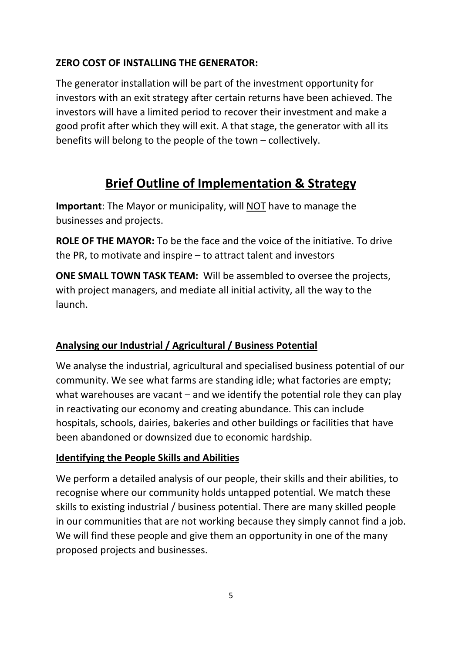## **ZERO COST OF INSTALLING THE GENERATOR:**

The generator installation will be part of the investment opportunity for investors with an exit strategy after certain returns have been achieved. The investors will have a limited period to recover their investment and make a good profit after which they will exit. A that stage, the generator with all its benefits will belong to the people of the town – collectively.

# **Brief Outline of Implementation & Strategy**

**Important**: The Mayor or municipality, will NOT have to manage the businesses and projects.

**ROLE OF THE MAYOR:** To be the face and the voice of the initiative. To drive the PR, to motivate and inspire – to attract talent and investors

**ONE SMALL TOWN TASK TEAM:** Will be assembled to oversee the projects, with project managers, and mediate all initial activity, all the way to the launch.

## **Analysing our Industrial / Agricultural / Business Potential**

We analyse the industrial, agricultural and specialised business potential of our community. We see what farms are standing idle; what factories are empty; what warehouses are vacant – and we identify the potential role they can play in reactivating our economy and creating abundance. This can include hospitals, schools, dairies, bakeries and other buildings or facilities that have been abandoned or downsized due to economic hardship.

#### **Identifying the People Skills and Abilities**

We perform a detailed analysis of our people, their skills and their abilities, to recognise where our community holds untapped potential. We match these skills to existing industrial / business potential. There are many skilled people in our communities that are not working because they simply cannot find a job. We will find these people and give them an opportunity in one of the many proposed projects and businesses.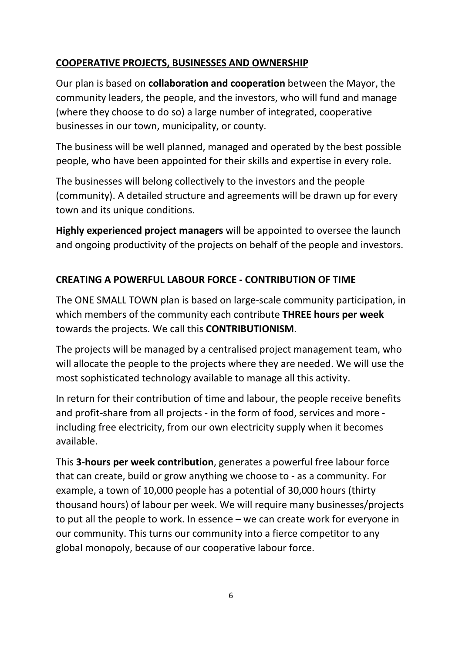## **COOPERATIVE PROJECTS, BUSINESSES AND OWNERSHIP**

Our plan is based on **collaboration and cooperation** between the Mayor, the community leaders, the people, and the investors, who will fund and manage (where they choose to do so) a large number of integrated, cooperative businesses in our town, municipality, or county.

The business will be well planned, managed and operated by the best possible people, who have been appointed for their skills and expertise in every role.

The businesses will belong collectively to the investors and the people (community). A detailed structure and agreements will be drawn up for every town and its unique conditions.

**Highly experienced project managers** will be appointed to oversee the launch and ongoing productivity of the projects on behalf of the people and investors.

# **CREATING A POWERFUL LABOUR FORCE - CONTRIBUTION OF TIME**

The ONE SMALL TOWN plan is based on large-scale community participation, in which members of the community each contribute **THREE hours per week** towards the projects. We call this **CONTRIBUTIONISM**.

The projects will be managed by a centralised project management team, who will allocate the people to the projects where they are needed. We will use the most sophisticated technology available to manage all this activity.

In return for their contribution of time and labour, the people receive benefits and profit-share from all projects - in the form of food, services and more including free electricity, from our own electricity supply when it becomes available.

This **3-hours per week contribution**, generates a powerful free labour force that can create, build or grow anything we choose to - as a community. For example, a town of 10,000 people has a potential of 30,000 hours (thirty thousand hours) of labour per week. We will require many businesses/projects to put all the people to work. In essence – we can create work for everyone in our community. This turns our community into a fierce competitor to any global monopoly, because of our cooperative labour force.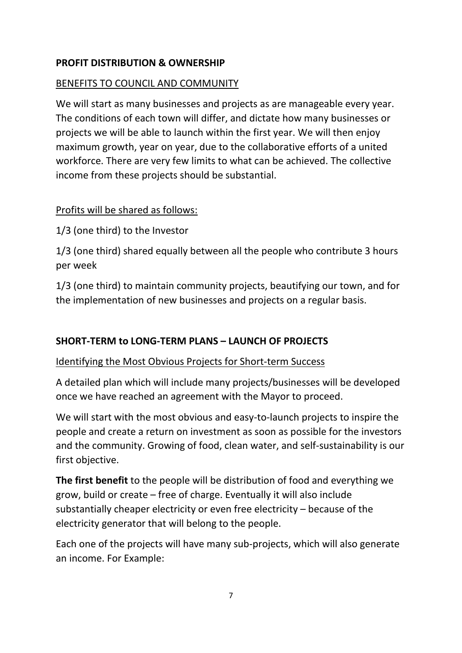#### **PROFIT DISTRIBUTION & OWNERSHIP**

#### BENEFITS TO COUNCIL AND COMMUNITY

We will start as many businesses and projects as are manageable every year. The conditions of each town will differ, and dictate how many businesses or projects we will be able to launch within the first year. We will then enjoy maximum growth, year on year, due to the collaborative efforts of a united workforce. There are very few limits to what can be achieved. The collective income from these projects should be substantial.

#### Profits will be shared as follows:

1/3 (one third) to the Investor

1/3 (one third) shared equally between all the people who contribute 3 hours per week

1/3 (one third) to maintain community projects, beautifying our town, and for the implementation of new businesses and projects on a regular basis.

## **SHORT-TERM to LONG-TERM PLANS – LAUNCH OF PROJECTS**

#### Identifying the Most Obvious Projects for Short-term Success

A detailed plan which will include many projects/businesses will be developed once we have reached an agreement with the Mayor to proceed.

We will start with the most obvious and easy-to-launch projects to inspire the people and create a return on investment as soon as possible for the investors and the community. Growing of food, clean water, and self-sustainability is our first objective.

**The first benefit** to the people will be distribution of food and everything we grow, build or create – free of charge. Eventually it will also include substantially cheaper electricity or even free electricity – because of the electricity generator that will belong to the people.

Each one of the projects will have many sub-projects, which will also generate an income. For Example: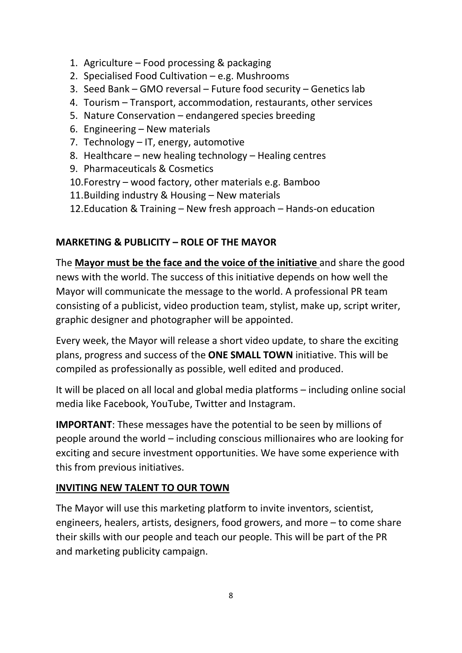- 1. Agriculture Food processing & packaging
- 2. Specialised Food Cultivation e.g. Mushrooms
- 3. Seed Bank GMO reversal Future food security Genetics lab
- 4. Tourism Transport, accommodation, restaurants, other services
- 5. Nature Conservation endangered species breeding
- 6. Engineering New materials
- 7. Technology IT, energy, automotive
- 8. Healthcare new healing technology Healing centres
- 9. Pharmaceuticals & Cosmetics
- 10.Forestry wood factory, other materials e.g. Bamboo
- 11.Building industry & Housing New materials
- 12.Education & Training New fresh approach Hands-on education

#### **MARKETING & PUBLICITY – ROLE OF THE MAYOR**

The **Mayor must be the face and the voice of the initiative** and share the good news with the world. The success of this initiative depends on how well the Mayor will communicate the message to the world. A professional PR team consisting of a publicist, video production team, stylist, make up, script writer, graphic designer and photographer will be appointed.

Every week, the Mayor will release a short video update, to share the exciting plans, progress and success of the **ONE SMALL TOWN** initiative. This will be compiled as professionally as possible, well edited and produced.

It will be placed on all local and global media platforms – including online social media like Facebook, YouTube, Twitter and Instagram.

**IMPORTANT**: These messages have the potential to be seen by millions of people around the world – including conscious millionaires who are looking for exciting and secure investment opportunities. We have some experience with this from previous initiatives.

## **INVITING NEW TALENT TO OUR TOWN**

The Mayor will use this marketing platform to invite inventors, scientist, engineers, healers, artists, designers, food growers, and more – to come share their skills with our people and teach our people. This will be part of the PR and marketing publicity campaign.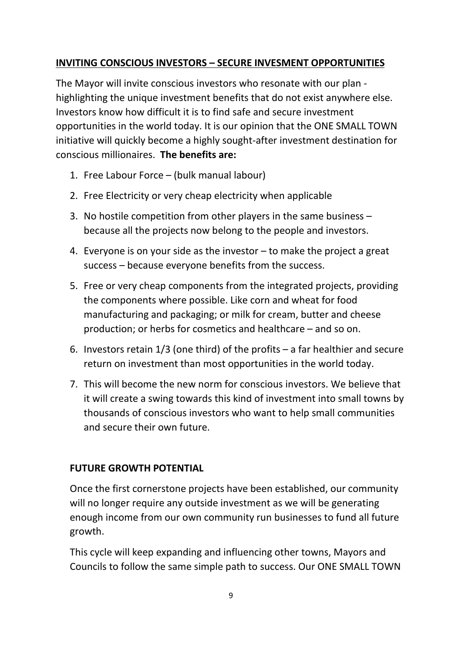#### **INVITING CONSCIOUS INVESTORS – SECURE INVESMENT OPPORTUNITIES**

The Mayor will invite conscious investors who resonate with our plan highlighting the unique investment benefits that do not exist anywhere else. Investors know how difficult it is to find safe and secure investment opportunities in the world today. It is our opinion that the ONE SMALL TOWN initiative will quickly become a highly sought-after investment destination for conscious millionaires. **The benefits are:**

- 1. Free Labour Force (bulk manual labour)
- 2. Free Electricity or very cheap electricity when applicable
- 3. No hostile competition from other players in the same business because all the projects now belong to the people and investors.
- 4. Everyone is on your side as the investor to make the project a great success – because everyone benefits from the success.
- 5. Free or very cheap components from the integrated projects, providing the components where possible. Like corn and wheat for food manufacturing and packaging; or milk for cream, butter and cheese production; or herbs for cosmetics and healthcare – and so on.
- 6. Investors retain 1/3 (one third) of the profits a far healthier and secure return on investment than most opportunities in the world today.
- 7. This will become the new norm for conscious investors. We believe that it will create a swing towards this kind of investment into small towns by thousands of conscious investors who want to help small communities and secure their own future.

#### **FUTURE GROWTH POTENTIAL**

Once the first cornerstone projects have been established, our community will no longer require any outside investment as we will be generating enough income from our own community run businesses to fund all future growth.

This cycle will keep expanding and influencing other towns, Mayors and Councils to follow the same simple path to success. Our ONE SMALL TOWN